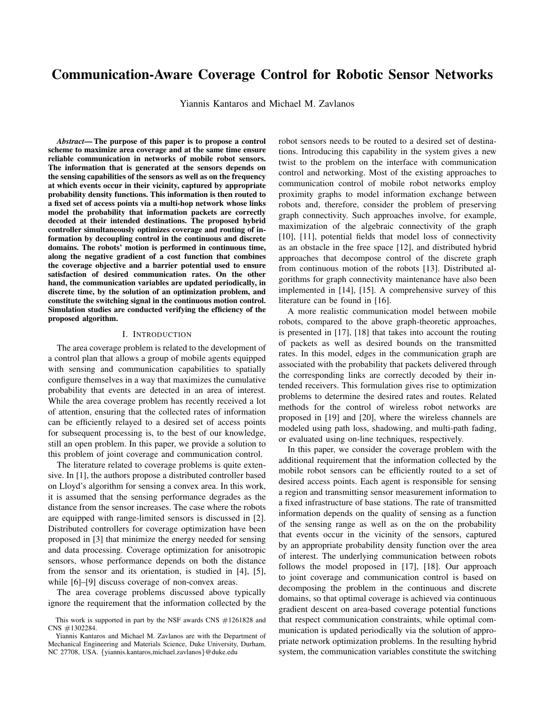# Communication-Aware Coverage Control for Robotic Sensor Networks

Yiannis Kantaros and Michael M. Zavlanos

*Abstract*— The purpose of this paper is to propose a control scheme to maximize area coverage and at the same time ensure reliable communication in networks of mobile robot sensors. The information that is generated at the sensors depends on the sensing capabilities of the sensors as well as on the frequency at which events occur in their vicinity, captured by appropriate probability density functions. This information is then routed to a fixed set of access points via a multi-hop network whose links model the probability that information packets are correctly decoded at their intended destinations. The proposed hybrid controller simultaneously optimizes coverage and routing of information by decoupling control in the continuous and discrete domains. The robots' motion is performed in continuous time, along the negative gradient of a cost function that combines the coverage objective and a barrier potential used to ensure satisfaction of desired communication rates. On the other hand, the communication variables are updated periodically, in discrete time, by the solution of an optimization problem, and constitute the switching signal in the continuous motion control. Simulation studies are conducted verifying the efficiency of the proposed algorithm.

# I. INTRODUCTION

The area coverage problem is related to the development of a control plan that allows a group of mobile agents equipped with sensing and communication capabilities to spatially configure themselves in a way that maximizes the cumulative probability that events are detected in an area of interest. While the area coverage problem has recently received a lot of attention, ensuring that the collected rates of information can be efficiently relayed to a desired set of access points for subsequent processing is, to the best of our knowledge, still an open problem. In this paper, we provide a solution to this problem of joint coverage and communication control.

The literature related to coverage problems is quite extensive. In [1], the authors propose a distributed controller based on Lloyd's algorithm for sensing a convex area. In this work, it is assumed that the sensing performance degrades as the distance from the sensor increases. The case where the robots are equipped with range-limited sensors is discussed in [2]. Distributed controllers for coverage optimization have been proposed in [3] that minimize the energy needed for sensing and data processing. Coverage optimization for anisotropic sensors, whose performance depends on both the distance from the sensor and its orientation, is studied in [4], [5], while  $[6]$ – $[9]$  discuss coverage of non-convex areas.

The area coverage problems discussed above typically ignore the requirement that the information collected by the robot sensors needs to be routed to a desired set of destinations. Introducing this capability in the system gives a new twist to the problem on the interface with communication control and networking. Most of the existing approaches to communication control of mobile robot networks employ proximity graphs to model information exchange between robots and, therefore, consider the problem of preserving graph connectivity. Such approaches involve, for example, maximization of the algebraic connectivity of the graph [10], [11], potential fields that model loss of connectivity as an obstacle in the free space [12], and distributed hybrid approaches that decompose control of the discrete graph from continuous motion of the robots [13]. Distributed algorithms for graph connectivity maintenance have also been implemented in [14], [15]. A comprehensive survey of this literature can be found in [16].

A more realistic communication model between mobile robots, compared to the above graph-theoretic approaches, is presented in [17], [18] that takes into account the routing of packets as well as desired bounds on the transmitted rates. In this model, edges in the communication graph are associated with the probability that packets delivered through the corresponding links are correctly decoded by their intended receivers. This formulation gives rise to optimization problems to determine the desired rates and routes. Related methods for the control of wireless robot networks are proposed in [19] and [20], where the wireless channels are modeled using path loss, shadowing, and multi-path fading, or evaluated using on-line techniques, respectively.

In this paper, we consider the coverage problem with the additional requirement that the information collected by the mobile robot sensors can be efficiently routed to a set of desired access points. Each agent is responsible for sensing a region and transmitting sensor measurement information to a fixed infrastructure of base stations. The rate of transmitted information depends on the quality of sensing as a function of the sensing range as well as on the on the probability that events occur in the vicinity of the sensors, captured by an appropriate probability density function over the area of interest. The underlying communication between robots follows the model proposed in [17], [18]. Our approach to joint coverage and communication control is based on decomposing the problem in the continuous and discrete domains, so that optimal coverage is achieved via continuous gradient descent on area-based coverage potential functions that respect communication constraints, while optimal communication is updated periodically via the solution of appropriate network optimization problems. In the resulting hybrid system, the communication variables constitute the switching

This work is supported in part by the NSF awards CNS #1261828 and CNS #1302284.

Yiannis Kantaros and Michael M. Zavlanos are with the Department of Mechanical Engineering and Materials Science, Duke University, Durham, NC 27708, USA. {yiannis.kantaros,michael.zavlanos}@duke.edu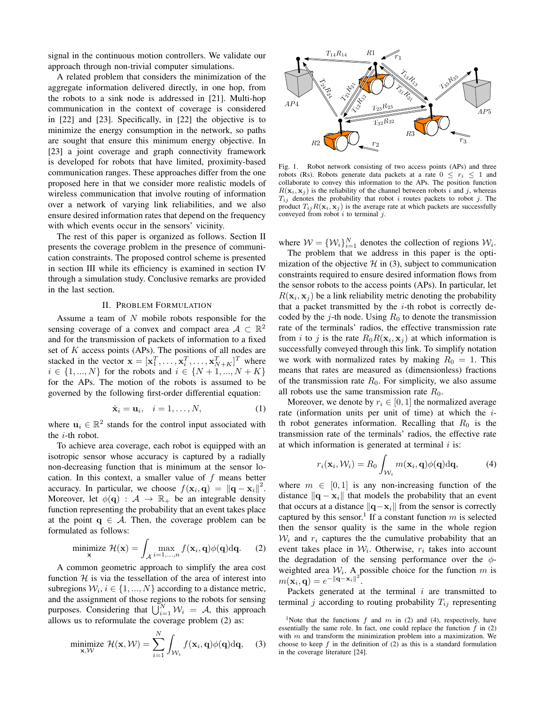signal in the continuous motion controllers. We validate our approach through non-trivial computer simulations.

A related problem that considers the minimization of the aggregate information delivered directly, in one hop, from the robots to a sink node is addressed in [21]. Multi-hop communication in the context of coverage is considered in [22] and [23]. Specifically, in [22] the objective is to minimize the energy consumption in the network, so paths are sought that ensure this minimum energy objective. In [23] a joint coverage and graph connectivity framework is developed for robots that have limited, proximity-based communication ranges. These approaches differ from the one proposed here in that we consider more realistic models of wireless communication that involve routing of information over a network of varying link reliabilities, and we also ensure desired information rates that depend on the frequency with which events occur in the sensors' vicinity.

The rest of this paper is organized as follows. Section II presents the coverage problem in the presence of communication constraints. The proposed control scheme is presented in section III while its efficiency is examined in section IV through a simulation study. Conclusive remarks are provided in the last section.

#### II. PROBLEM FORMULATION

Assume a team of  $N$  mobile robots responsible for the sensing coverage of a convex and compact area  $A \subset \mathbb{R}^2$ and for the transmission of packets of information to a fixed set of  $K$  access points (APs). The positions of all nodes are stacked in the vector  $\mathbf{x} = [\mathbf{x}_1^T, \dots, \mathbf{x}_i^T, \dots, \mathbf{x}_{N+K}^T]^T$  where  $i \in \{1, ..., N\}$  for the robots and  $i \in \{N+1, ..., N+K\}$ for the APs. The motion of the robots is assumed to be governed by the following first-order differential equation:

$$
\dot{\mathbf{x}}_i = \mathbf{u}_i, \quad i = 1, \dots, N,
$$
 (1)

where  $\mathbf{u}_i \in \mathbb{R}^2$  stands for the control input associated with the  $i$ -th robot.

To achieve area coverage, each robot is equipped with an isotropic sensor whose accuracy is captured by a radially non-decreasing function that is minimum at the sensor location. In this context, a smaller value of  $f$  means better accuracy. In particular, we choose  $f(\mathbf{x}_i, \mathbf{q}) = ||\mathbf{q} - \mathbf{x}_i||^2$ . Moreover, let  $\phi(\mathbf{q}) : A \to \mathbb{R}_+$  be an integrable density function representing the probability that an event takes place at the point  $q \in A$ . Then, the coverage problem can be formulated as follows:

$$
\underset{\mathbf{x}}{\text{minimize}} \ \mathcal{H}(\mathbf{x}) = \int_{\mathcal{A}} \underset{i=1,\dots,n}{\text{max}} f(\mathbf{x}_i, \mathbf{q}) \phi(\mathbf{q}) \mathrm{d}\mathbf{q}. \tag{2}
$$

A common geometric approach to simplify the area cost function  $H$  is via the tessellation of the area of interest into subregions  $W_i$ ,  $i \in \{1, ..., N\}$  according to a distance metric, and the assignment of those regions to the robots for sensing purposes. Considering that  $\bigcup_{i=1}^{N} \mathcal{W}_i = \mathcal{A}$ , this approach allows us to reformulate the coverage problem (2) as:

$$
\underset{\mathbf{x}, \mathcal{W}}{\text{minimize}} \ \mathcal{H}(\mathbf{x}, \mathcal{W}) = \sum_{i=1}^{N} \int_{\mathcal{W}_i} f(\mathbf{x}_i, \mathbf{q}) \phi(\mathbf{q}) \mathrm{d}\mathbf{q}, \quad (3)
$$



Fig. 1. Robot network consisting of two access points (APs) and three robots (Rs). Robots generate data packets at a rate  $0 \leq r_i \leq 1$  and collaborate to convey this information to the APs. The position function  $R(\mathbf{x}_i, \mathbf{x}_j)$  is the reliability of the channel between robots i and j, whereas  $T_{ij}$  denotes the probability that robot i routes packets to robot j. The product  $T_{ij}R(\mathbf{x}_i, \mathbf{x}_j)$  is the average rate at which packets are successfully conveyed from robot  $i$  to terminal  $j$ .

where  $W = \{W_i\}_{i=1}^N$  denotes the collection of regions  $W_i$ .

The problem that we address in this paper is the optimization of the objective  $H$  in (3), subject to communication constraints required to ensure desired information flows from the sensor robots to the access points (APs). In particular, let  $R(\mathbf{x}_i, \mathbf{x}_j)$  be a link reliability metric denoting the probability that a packet transmitted by the  $i$ -th robot is correctly decoded by the  $j$ -th node. Using  $R_0$  to denote the transmission rate of the terminals' radios, the effective transmission rate from *i* to *j* is the rate  $R_0R(\mathbf{x}_i, \mathbf{x}_j)$  at which information is successfully conveyed through this link. To simplify notation we work with normalized rates by making  $R_0 = 1$ . This means that rates are measured as (dimensionless) fractions of the transmission rate  $R_0$ . For simplicity, we also assume all robots use the same transmission rate  $R_0$ .

Moreover, we denote by  $r_i \in [0, 1]$  the normalized average rate (information units per unit of time) at which the  $i$ th robot generates information. Recalling that  $R_0$  is the transmission rate of the terminals' radios, the effective rate at which information is generated at terminal  $i$  is:

$$
r_i(\mathbf{x}_i, \mathcal{W}_i) = R_0 \int_{\mathcal{W}_i} m(\mathbf{x}_i, \mathbf{q}) \phi(\mathbf{q}) d\mathbf{q},
$$
 (4)

where  $m \in [0, 1]$  is any non-increasing function of the distance  $\|\mathbf{q} - \mathbf{x}_i\|$  that models the probability that an event that occurs at a distance  $\|\mathbf{q}-\mathbf{x}_i\|$  from the sensor is correctly captured by this sensor.<sup>1</sup> If a constant function  $m$  is selected then the sensor quality is the same in the whole region  $W_i$  and  $r_i$  captures the the cumulative probability that an event takes place in  $W_i$ . Otherwise,  $r_i$  takes into account the degradation of the sensing performance over the  $\phi$ weighted area  $W_i$ . A possible choice for the function m is  $m(\mathbf{x}_i, \mathbf{q}) = e^{-\|\mathbf{q} - \mathbf{x}_i\|^2}.$ 

Packets generated at the terminal  $i$  are transmitted to terminal j according to routing probability  $T_{ij}$  representing

<sup>&</sup>lt;sup>1</sup>Note that the functions f and m in (2) and (4), respectively, have essentially the same role. In fact, one could replace the function  $f$  in  $(2)$ with  $m$  and transform the minimization problem into a maximization. We choose to keep  $f$  in the definition of  $(2)$  as this is a standard formulation in the coverage literature [24].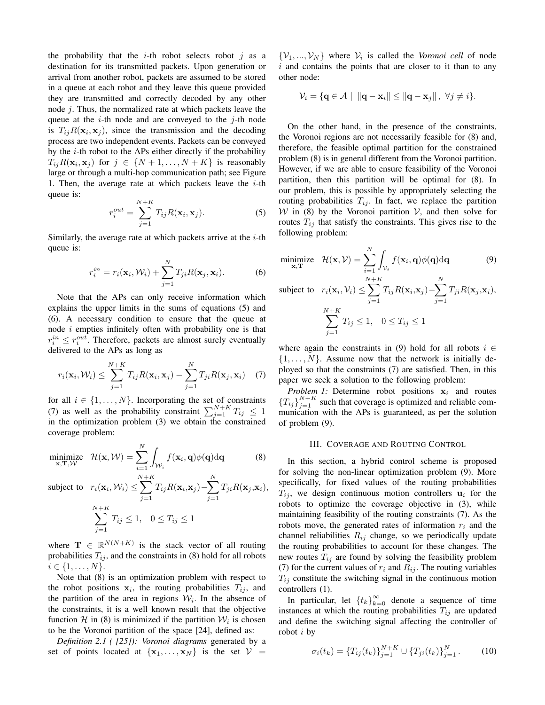the probability that the *i*-th robot selects robot  $j$  as a destination for its transmitted packets. Upon generation or arrival from another robot, packets are assumed to be stored in a queue at each robot and they leave this queue provided they are transmitted and correctly decoded by any other node j. Thus, the normalized rate at which packets leave the queue at the *i*-th node and are conveyed to the *j*-th node is  $T_{ij}R(\mathbf{x}_i, \mathbf{x}_j)$ , since the transmission and the decoding process are two independent events. Packets can be conveyed by the  $i$ -th robot to the APs either directly if the probability  $T_{ij}R(\mathbf{x}_i, \mathbf{x}_j)$  for  $j \in \{N+1, \ldots, N+K\}$  is reasonably large or through a multi-hop communication path; see Figure 1. Then, the average rate at which packets leave the  $i$ -th queue is:

$$
r_i^{out} = \sum_{j=1}^{N+K} T_{ij} R(\mathbf{x}_i, \mathbf{x}_j).
$$
 (5)

Similarly, the average rate at which packets arrive at the  $i$ -th queue is:

$$
r_i^{in} = r_i(\mathbf{x}_i, \mathcal{W}_i) + \sum_{j=1}^N T_{ji} R(\mathbf{x}_j, \mathbf{x}_i).
$$
 (6)

Note that the APs can only receive information which explains the upper limits in the sums of equations (5) and (6). A necessary condition to ensure that the queue at node  $i$  empties infinitely often with probability one is that  $r_i^{in} \leq r_i^{out}$ . Therefore, packets are almost surely eventually delivered to the APs as long as

$$
r_i(\mathbf{x}_i, \mathcal{W}_i) \le \sum_{j=1}^{N+K} T_{ij} R(\mathbf{x}_i, \mathbf{x}_j) - \sum_{j=1}^{N} T_{ji} R(\mathbf{x}_j, \mathbf{x}_i) \quad (7)
$$

for all  $i \in \{1, \ldots, N\}$ . Incorporating the set of constraints (7) as well as the probability constraint  $\sum_{j=1}^{N+K} T_{ij} \leq 1$ in the optimization problem  $(3)$  we obtain the constrained coverage problem:

$$
\underset{\mathbf{x}, \mathbf{T}, \mathcal{W}}{\text{minimize}} \quad \mathcal{H}(\mathbf{x}, \mathcal{W}) = \sum_{i=1}^{N} \int_{\mathcal{W}_i} f(\mathbf{x}_i, \mathbf{q}) \phi(\mathbf{q}) d\mathbf{q} \tag{8}
$$

subject to 
$$
r_i(\mathbf{x}_i, \mathcal{W}_i) \leq \sum_{j=1}^{N+K} T_{ij} R(\mathbf{x}_i, \mathbf{x}_j) - \sum_{j=1}^{N} T_{ji} R(\mathbf{x}_j, \mathbf{x}_i),
$$

$$
\sum_{j=1}^{N+K} T_{ij} \leq 1, \quad 0 \leq T_{ij} \leq 1
$$

where  $\mathbf{T} \in \mathbb{R}^{N(N+K)}$  is the stack vector of all routing probabilities  $T_{ij}$ , and the constraints in (8) hold for all robots  $i \in \{1, \ldots, N\}.$ 

Note that (8) is an optimization problem with respect to the robot positions  $x_i$ , the routing probabilities  $T_{ij}$ , and the partition of the area in regions  $W_i$ . In the absence of the constraints, it is a well known result that the objective function  $\mathcal{H}$  in (8) is minimized if the partition  $\mathcal{W}_i$  is chosen to be the Voronoi partition of the space [24], defined as:

*Definition 2.1 ( [25]): Voronoi diagrams* generated by a set of points located at  $\{x_1, \ldots, x_N\}$  is the set  $\mathcal{V}$  =

 $\{V_1, ..., V_N\}$  where  $V_i$  is called the *Voronoi cell* of node  $i$  and contains the points that are closer to it than to any other node:

$$
\mathcal{V}_i = \{ \mathbf{q} \in \mathcal{A} \mid \|\mathbf{q} - \mathbf{x}_i\| \leq \|\mathbf{q} - \mathbf{x}_j\|, \ \forall j \neq i \}.
$$

On the other hand, in the presence of the constraints, the Voronoi regions are not necessarily feasible for (8) and, therefore, the feasible optimal partition for the constrained problem (8) is in general different from the Voronoi partition. However, if we are able to ensure feasibility of the Voronoi partition, then this partition will be optimal for (8). In our problem, this is possible by appropriately selecting the routing probabilities  $T_{ij}$ . In fact, we replace the partition  $W$  in (8) by the Voronoi partition  $V$ , and then solve for routes  $T_{ij}$  that satisfy the constraints. This gives rise to the following problem:

minimize 
$$
\mathcal{H}(\mathbf{x}, \mathcal{V}) = \sum_{i=1}^{N} \int_{\mathcal{V}_i} f(\mathbf{x}_i, \mathbf{q}) \phi(\mathbf{q}) d\mathbf{q}
$$
 (9)  
\nsubject to  $r_i(\mathbf{x}_i, \mathcal{V}_i) \leq \sum_{j=1}^{N+K} T_{ij} R(\mathbf{x}_i, \mathbf{x}_j) - \sum_{j=1}^{N} T_{ji} R(\mathbf{x}_j, \mathbf{x}_i)$ ,  
\n
$$
\sum_{j=1}^{N+K} T_{ij} \leq 1, \quad 0 \leq T_{ij} \leq 1
$$

where again the constraints in (9) hold for all robots  $i \in$  $\{1, \ldots, N\}$ . Assume now that the network is initially deployed so that the constraints (7) are satisfied. Then, in this paper we seek a solution to the following problem:

*Problem 1:* Determine robot positions  $x_i$  and routes  ${T_{ij}}_{j=1}^{N+K}$  such that coverage is optimized and reliable communication with the APs is guaranteed, as per the solution of problem (9).

### III. COVERAGE AND ROUTING CONTROL

In this section, a hybrid control scheme is proposed for solving the non-linear optimization problem (9). More specifically, for fixed values of the routing probabilities  $T_{ij}$ , we design continuous motion controllers  $\mathbf{u}_i$  for the robots to optimize the coverage objective in (3), while maintaining feasibility of the routing constraints (7). As the robots move, the generated rates of information  $r_i$  and the channel reliabilities  $R_{ij}$  change, so we periodically update the routing probabilities to account for these changes. The new routes  $T_{ij}$  are found by solving the feasibility problem (7) for the current values of  $r_i$  and  $R_{ij}$ . The routing variables  $T_{ij}$  constitute the switching signal in the continuous motion controllers (1).

In particular, let  ${t_k}_{k=0}^{\infty}$  denote a sequence of time instances at which the routing probabilities  $T_{ij}$  are updated and define the switching signal affecting the controller of robot  $i$  by

$$
\sigma_i(t_k) = \{T_{ij}(t_k)\}_{j=1}^{N+K} \cup \{T_{ji}(t_k)\}_{j=1}^N. \tag{10}
$$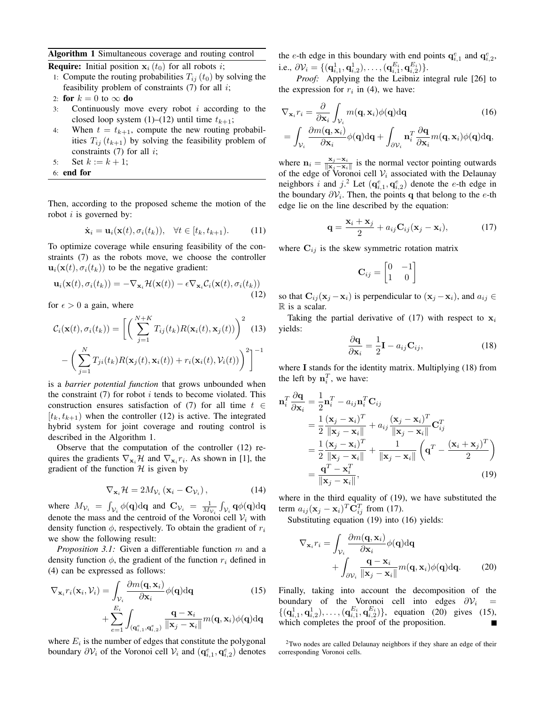Algorithm 1 Simultaneous coverage and routing control

**Require:** Initial position  $x_i(t_0)$  for all robots i;

- 1: Compute the routing probabilities  $T_{ij}(t_0)$  by solving the feasibility problem of constraints  $(7)$  for all i;
- 2: for  $k = 0$  to  $\infty$  do<br>3: Continuously me
- Continuously move every robot  $i$  according to the closed loop system  $(1)$ – $(12)$  until time  $t_{k+1}$ ;
- 4: When  $t = t_{k+1}$ , compute the new routing probabilities  $T_{ij}$  ( $t_{k+1}$ ) by solving the feasibility problem of constraints  $(7)$  for all  $i$ ;
- 5: Set  $k := k + 1$ ;
- 6: end for

Then, according to the proposed scheme the motion of the robot  $i$  is governed by:

$$
\dot{\mathbf{x}}_i = \mathbf{u}_i(\mathbf{x}(t), \sigma_i(t_k)), \quad \forall t \in [t_k, t_{k+1}).
$$
 (11)

To optimize coverage while ensuring feasibility of the constraints (7) as the robots move, we choose the controller  $\mathbf{u}_i(\mathbf{x}(t), \sigma_i(t_k))$  to be the negative gradient:

$$
\mathbf{u}_i(\mathbf{x}(t), \sigma_i(t_k)) = -\nabla_{\mathbf{x}_i} \mathcal{H}(\mathbf{x}(t)) - \epsilon \nabla_{\mathbf{x}_i} \mathcal{C}_i(\mathbf{x}(t), \sigma_i(t_k))
$$
\n(12)

for  $\epsilon > 0$  a gain, where

$$
C_i(\mathbf{x}(t), \sigma_i(t_k)) = \left[ \left( \sum_{j=1}^{N+K} T_{ij}(t_k) R(\mathbf{x}_i(t), \mathbf{x}_j(t)) \right)^2 (13) - \left( \sum_{j=1}^{N} T_{ji}(t_k) R(\mathbf{x}_j(t), \mathbf{x}_i(t)) + r_i(\mathbf{x}_i(t), \mathcal{V}_i(t)) \right)^2 \right]^{-1}
$$

is a *barrier potential function* that grows unbounded when the constraint  $(7)$  for robot i tends to become violated. This construction ensures satisfaction of (7) for all time  $t \in$  $[t_k, t_{k+1})$  when the controller (12) is active. The integrated hybrid system for joint coverage and routing control is described in the Algorithm 1.

Observe that the computation of the controller (12) requires the gradients  $\nabla_{\mathbf{x}_i} \mathcal{H}$  and  $\nabla_{\mathbf{x}_i} r_i$ . As shown in [1], the gradient of the function  $H$  is given by

$$
\nabla_{\mathbf{x}_{i}} \mathcal{H} = 2M_{\mathcal{V}_{i}} (\mathbf{x}_{i} - \mathbf{C}_{\mathcal{V}_{i}}), \qquad (14)
$$

where  $M_{\mathcal{V}_i} = \int_{\mathcal{V}_i} \phi(\mathbf{q}) d\mathbf{q}$  and  $\mathbf{C}_{\mathcal{V}_i} = \frac{1}{M_{\mathcal{V}_i}} \int_{\mathcal{V}_i} \phi(\mathbf{q}) d\mathbf{q}$ denote the mass and the centroid of the Voronoi cell  $V_i$  with density function  $\phi$ , respectively. To obtain the gradient of  $r_i$ we show the following result:

*Proposition 3.1:* Given a differentiable function m and a density function  $\phi$ , the gradient of the function  $r_i$  defined in (4) can be expressed as follows:

$$
\nabla_{\mathbf{x}_{i}} r_{i}(\mathbf{x}_{i}, \mathcal{V}_{i}) = \int_{\mathcal{V}_{i}} \frac{\partial m(\mathbf{q}, \mathbf{x}_{i})}{\partial \mathbf{x}_{i}} \phi(\mathbf{q}) d\mathbf{q}
$$
(15)  
+ 
$$
\sum_{e=1}^{E_{i}} \int_{(\mathbf{q}_{i,1}^{e}, \mathbf{q}_{i,2}^{e})} \frac{\mathbf{q} - \mathbf{x}_{i}}{\|\mathbf{x}_{j} - \mathbf{x}_{i}\|} m(\mathbf{q}, \mathbf{x}_{i}) \phi(\mathbf{q}) d\mathbf{q}
$$

where  $E_i$  is the number of edges that constitute the polygonal boundary  $\partial \mathcal{V}_i$  of the Voronoi cell  $\mathcal{V}_i$  and  $(\mathbf{q}_{i,1}^e, \mathbf{q}_{i,2}^e)$  denotes the e-th edge in this boundary with end points  $q_{i,1}^e$  and  $q_{i,2}^e$ , i.e.,  $\partial \mathcal{V}_i = \{(\mathbf{q}_{i,1}^1, \mathbf{q}_{i,2}^1), \dots, (\mathbf{q}_{i,1}^{E_i}, \mathbf{q}_{i,2}^{E_i})\}.$ 

*Proof:* Applying the the Leibniz integral rule [26] to the expression for  $r_i$  in (4), we have:

$$
\nabla_{\mathbf{x}_i} r_i = \frac{\partial}{\partial \mathbf{x}_i} \int_{\mathcal{V}_i} m(\mathbf{q}, \mathbf{x}_i) \phi(\mathbf{q}) d\mathbf{q}
$$
(16)  
= 
$$
\int_{\mathcal{V}_i} \frac{\partial m(\mathbf{q}, \mathbf{x}_i)}{\partial \mathbf{x}_i} \phi(\mathbf{q}) d\mathbf{q} + \int_{\partial \mathcal{V}_i} \mathbf{n}_i^T \frac{\partial \mathbf{q}}{\partial \mathbf{x}_i} m(\mathbf{q}, \mathbf{x}_i) \phi(\mathbf{q}) d\mathbf{q},
$$

where  $n_i = \frac{\mathbf{x}_j - \mathbf{x}_i}{\|\mathbf{x}_i - \mathbf{x}_i\|}$  $\frac{\mathbf{x}_j - \mathbf{x}_i}{\|\mathbf{x}_j - \mathbf{x}_i\|}$  is the normal vector pointing outwards of the edge of Voronoi cell  $V_i$  associated with the Delaunay neighbors *i* and *j*.<sup>2</sup> Let  $(\mathbf{q}_{i,1}^e, \mathbf{q}_{i,2}^e)$  denote the *e*-th edge in the boundary  $\partial \mathcal{V}_i$ . Then, the points q that belong to the *e*-th edge lie on the line described by the equation:

$$
\mathbf{q} = \frac{\mathbf{x}_i + \mathbf{x}_j}{2} + a_{ij}\mathbf{C}_{ij}(\mathbf{x}_j - \mathbf{x}_i),
$$
 (17)

where  $\mathbf{C}_{ij}$  is the skew symmetric rotation matrix

$$
\mathbf{C}_{ij} = \begin{bmatrix} 0 & -1 \\ 1 & 0 \end{bmatrix}
$$

so that  $\mathbf{C}_{ij}(\mathbf{x}_j - \mathbf{x}_i)$  is perpendicular to  $(\mathbf{x}_j - \mathbf{x}_i)$ , and  $a_{ij} \in$  $\mathbb R$  is a scalar.

Taking the partial derivative of (17) with respect to  $x_i$ yields:

$$
\frac{\partial \mathbf{q}}{\partial \mathbf{x}_i} = \frac{1}{2} \mathbf{I} - a_{ij} \mathbf{C}_{ij},
$$
\n(18)

where I stands for the identity matrix. Multiplying (18) from the left by  $\mathbf{n}_i^T$ , we have:

$$
\mathbf{n}_i^T \frac{\partial \mathbf{q}}{\partial \mathbf{x}_i} = \frac{1}{2} \mathbf{n}_i^T - a_{ij} \mathbf{n}_i^T \mathbf{C}_{ij}
$$
  
\n
$$
= \frac{1}{2} \frac{(\mathbf{x}_j - \mathbf{x}_i)^T}{\|\mathbf{x}_j - \mathbf{x}_i\|} + a_{ij} \frac{(\mathbf{x}_j - \mathbf{x}_i)^T}{\|\mathbf{x}_j - \mathbf{x}_i\|} \mathbf{C}_{ij}^T
$$
  
\n
$$
= \frac{1}{2} \frac{(\mathbf{x}_j - \mathbf{x}_i)^T}{\|\mathbf{x}_j - \mathbf{x}_i\|} + \frac{1}{\|\mathbf{x}_j - \mathbf{x}_i\|} \left(\mathbf{q}^T - \frac{(\mathbf{x}_i + \mathbf{x}_j)^T}{2}\right)
$$
  
\n
$$
= \frac{\mathbf{q}^T - \mathbf{x}_i^T}{\|\mathbf{x}_j - \mathbf{x}_i\|}, \tag{19}
$$

where in the third equality of (19), we have substituted the term  $a_{ij}(\mathbf{x}_j - \mathbf{x}_i)^T \mathbf{C}_{ij}^T$  from (17).

Substituting equation (19) into (16) yields:

$$
\nabla_{\mathbf{x}_i} r_i = \int_{\mathcal{V}_i} \frac{\partial m(\mathbf{q}, \mathbf{x}_i)}{\partial \mathbf{x}_i} \phi(\mathbf{q}) d\mathbf{q} + \int_{\partial \mathcal{V}_i} \frac{\mathbf{q} - \mathbf{x}_i}{\|\mathbf{x}_j - \mathbf{x}_i\|} m(\mathbf{q}, \mathbf{x}_i) \phi(\mathbf{q}) d\mathbf{q}.
$$
 (20)

Finally, taking into account the decomposition of the boundary of the Voronoi cell into edges  $\partial V_i$  =  $\{(\mathbf{q}_{i,1}^1, \mathbf{q}_{i,2}^1), \dots, (\mathbf{q}_{i,1}^{E_i}, \mathbf{q}_{i,2}^{E_i})\}\$ , equation (20) gives (15), which completes the proof of the proposition.

<sup>2</sup>Two nodes are called Delaunay neighbors if they share an edge of their corresponding Voronoi cells.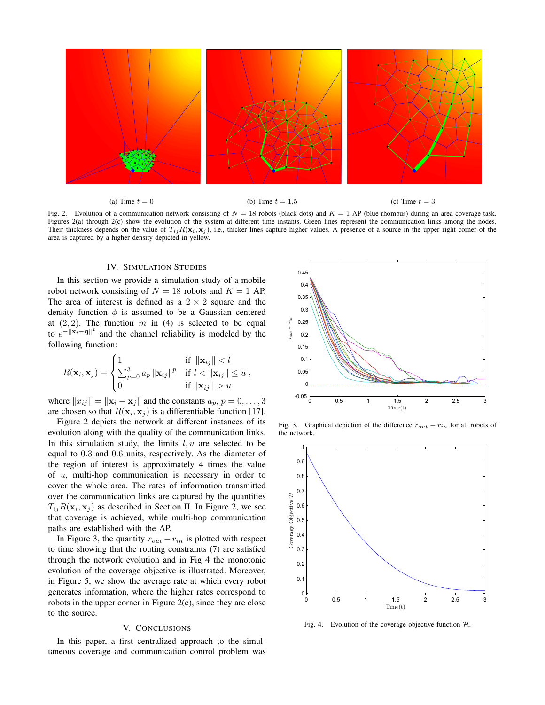

Fig. 2. Evolution of a communication network consisting of  $N = 18$  robots (black dots) and  $K = 1$  AP (blue rhombus) during an area coverage task. Figures 2(a) through 2(c) show the evolution of the system at different time instants. Green lines represent the communication links among the nodes. Their thickness depends on the value of  $T_{ij}R(\mathbf{x}_i, \mathbf{x}_j)$ , i.e., thicker lines capture higher values. A presence of a source in the upper right corner of the area is captured by a higher density depicted in yellow.

### IV. SIMULATION STUDIES

In this section we provide a simulation study of a mobile robot network consisting of  $N = 18$  robots and  $K = 1$  AP. The area of interest is defined as a  $2 \times 2$  square and the density function  $\phi$  is assumed to be a Gaussian centered at  $(2, 2)$ . The function m in (4) is selected to be equal to  $e^{-\|\mathbf{x}_i - \mathbf{q}\|^2}$  and the channel reliability is modeled by the following function:

$$
R(\mathbf{x}_i, \mathbf{x}_j) = \begin{cases} 1 & \text{if } \|\mathbf{x}_{ij}\| < l \\ \sum_{p=0}^3 a_p \|\mathbf{x}_{ij}\|^p & \text{if } l < \|\mathbf{x}_{ij}\| \le u \\ 0 & \text{if } \|\mathbf{x}_{ij}\| > u \end{cases}
$$

where  $||x_{ij}|| = ||\mathbf{x}_i - \mathbf{x}_j||$  and the constants  $a_p, p = 0, \ldots, 3$ are chosen so that  $R(\mathbf{x}_i, \mathbf{x}_j)$  is a differentiable function [17].

Figure 2 depicts the network at different instances of its evolution along with the quality of the communication links. In this simulation study, the limits  $l, u$  are selected to be equal to 0.3 and 0.6 units, respectively. As the diameter of the region of interest is approximately 4 times the value of u, multi-hop communication is necessary in order to cover the whole area. The rates of information transmitted over the communication links are captured by the quantities  $T_{ij}R(\mathbf{x}_i, \mathbf{x}_j)$  as described in Section II. In Figure 2, we see that coverage is achieved, while multi-hop communication paths are established with the AP.

In Figure 3, the quantity  $r_{out} - r_{in}$  is plotted with respect to time showing that the routing constraints (7) are satisfied through the network evolution and in Fig 4 the monotonic evolution of the coverage objective is illustrated. Moreover, in Figure 5, we show the average rate at which every robot generates information, where the higher rates correspond to robots in the upper corner in Figure 2(c), since they are close to the source.

## V. CONCLUSIONS

In this paper, a first centralized approach to the simultaneous coverage and communication control problem was



Fig. 3. Graphical depiction of the difference  $r_{out} - r_{in}$  for all robots of the network.



Fig. 4. Evolution of the coverage objective function H.